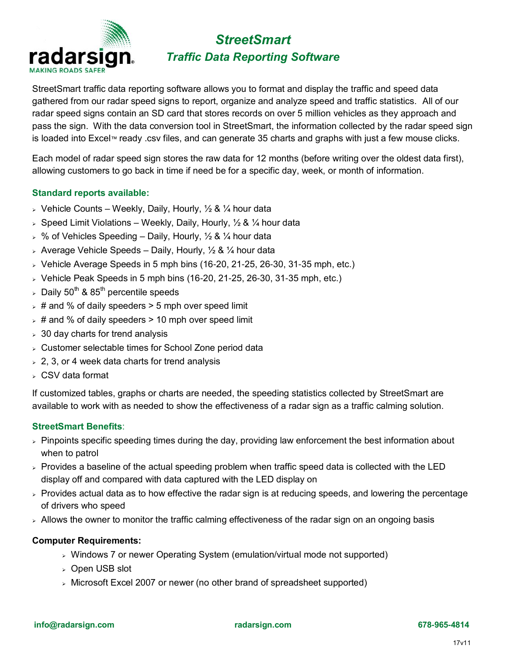

# *StreetSmart Traffic Data Reporting Software*

StreetSmart traffic data reporting software allows you to format and display the traffic and speed data gathered from our radar speed signs to report, organize and analyze speed and traffic statistics. All of our radar speed signs contain an SD card that stores records on over 5 million vehicles as they approach and pass the sign. With the data conversion tool in StreetSmart, the information collected by the radar speed sign is loaded into Excel™ ready .csv files, and can generate 35 charts and graphs with just a few mouse clicks.

Each model of radar speed sign stores the raw data for 12 months (before writing over the oldest data first), allowing customers to go back in time if need be for a specific day, week, or month of information.

#### **Standard reports available:**

- $\triangleright$  Vehicle Counts Weekly, Daily, Hourly,  $\frac{1}{2}$  &  $\frac{1}{4}$  hour data
- $\geq$  Speed Limit Violations Weekly, Daily, Hourly,  $\frac{1}{2}$  &  $\frac{1}{4}$  hour data
- $>$  % of Vehicles Speeding Daily, Hourly,  $\frac{1}{2}$  &  $\frac{1}{4}$  hour data
- $\triangleright$  Average Vehicle Speeds Daily, Hourly,  $\frac{1}{2}$  &  $\frac{1}{4}$  hour data
- $>$  Vehicle Average Speeds in 5 mph bins (16-20, 21-25, 26-30, 31-35 mph, etc.)
- $\rightarrow$  Vehicle Peak Speeds in 5 mph bins (16-20, 21-25, 26-30, 31-35 mph, etc.)
- $>$  Daily 50<sup>th</sup> & 85<sup>th</sup> percentile speeds
- $\rightarrow$  # and % of daily speeders  $>$  5 mph over speed limit
- $\rightarrow$  # and % of daily speeders > 10 mph over speed limit
- $>$  30 day charts for trend analysis
- ➢ Customer selectable times for School Zone period data
- $> 2, 3$ , or 4 week data charts for trend analysis
- ➢ CSV data format

If customized tables, graphs or charts are needed, the speeding statistics collected by StreetSmart are available to work with as needed to show the effectiveness of a radar sign as a traffic calming solution.

#### **StreetSmart Benefits**:

- $\triangleright$  Pinpoints specific speeding times during the day, providing law enforcement the best information about when to patrol
- $>$  Provides a baseline of the actual speeding problem when traffic speed data is collected with the LED display off and compared with data captured with the LED display on
- ➢ Provides actual data as to how effective the radar sign is at reducing speeds, and lowering the percentage of drivers who speed
- $\rightarrow$  Allows the owner to monitor the traffic calming effectiveness of the radar sign on an ongoing basis

#### **Computer Requirements:**

- ➢ Windows 7 or newer Operating System (emulation/virtual mode not supported)
- ➢ Open USB slot
- ➢ Microsoft Excel 2007 or newer (no other brand of spreadsheet supported)